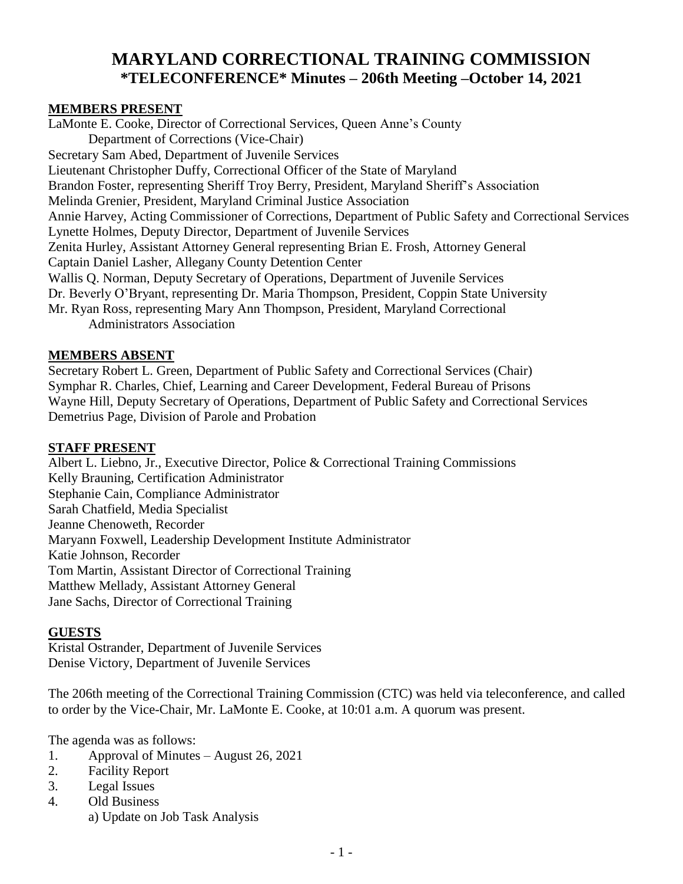# **MARYLAND CORRECTIONAL TRAINING COMMISSION \*TELECONFERENCE\* Minutes – 206th Meeting –October 14, 2021**

#### **MEMBERS PRESENT**

LaMonte E. Cooke, Director of Correctional Services, Queen Anne's County Department of Corrections (Vice-Chair) Secretary Sam Abed, Department of Juvenile Services Lieutenant Christopher Duffy, Correctional Officer of the State of Maryland Brandon Foster, representing Sheriff Troy Berry, President, Maryland Sheriff's Association Melinda Grenier, President, Maryland Criminal Justice Association Annie Harvey, Acting Commissioner of Corrections, Department of Public Safety and Correctional Services Lynette Holmes, Deputy Director, Department of Juvenile Services Zenita Hurley, Assistant Attorney General representing Brian E. Frosh, Attorney General Captain Daniel Lasher, Allegany County Detention Center Wallis Q. Norman, Deputy Secretary of Operations, Department of Juvenile Services Dr. Beverly O'Bryant, representing Dr. Maria Thompson, President, Coppin State University Mr. Ryan Ross, representing Mary Ann Thompson, President, Maryland Correctional Administrators Association

#### **MEMBERS ABSENT**

Secretary Robert L. Green, Department of Public Safety and Correctional Services (Chair) Symphar R. Charles, Chief, Learning and Career Development, Federal Bureau of Prisons Wayne Hill, Deputy Secretary of Operations, Department of Public Safety and Correctional Services Demetrius Page, Division of Parole and Probation

#### **STAFF PRESENT**

Albert L. Liebno, Jr., Executive Director, Police & Correctional Training Commissions Kelly Brauning, Certification Administrator Stephanie Cain, Compliance Administrator Sarah Chatfield, Media Specialist Jeanne Chenoweth, Recorder Maryann Foxwell, Leadership Development Institute Administrator Katie Johnson, Recorder Tom Martin, Assistant Director of Correctional Training Matthew Mellady, Assistant Attorney General Jane Sachs, Director of Correctional Training

### **GUESTS**

Kristal Ostrander, Department of Juvenile Services Denise Victory, Department of Juvenile Services

The 206th meeting of the Correctional Training Commission (CTC) was held via teleconference, and called to order by the Vice-Chair, Mr. LaMonte E. Cooke, at 10:01 a.m. A quorum was present.

The agenda was as follows:

- 1. Approval of Minutes August 26, 2021
- 2. Facility Report
- 3. Legal Issues
- 4. Old Business
	- a) Update on Job Task Analysis